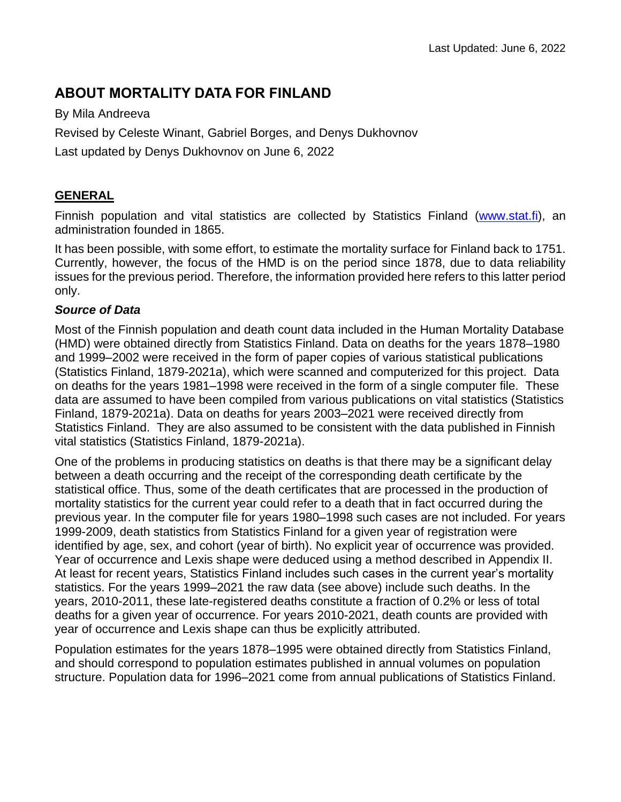# **ABOUT MORTALITY DATA FOR FINLAND**

By Mila Andreeva Revised by Celeste Winant, Gabriel Borges, and Denys Dukhovnov Last updated by Denys Dukhovnov on June 6, 2022

## **GENERAL**

Finnish population and vital statistics are collected by Statistics Finland [\(www.stat.fi\)](http://www.stat.fi/), an administration founded in 1865.

It has been possible, with some effort, to estimate the mortality surface for Finland back to 1751. Currently, however, the focus of the HMD is on the period since 1878, due to data reliability issues for the previous period. Therefore, the information provided here refers to this latter period only.

## *Source of Data*

Most of the Finnish population and death count data included in the Human Mortality Database (HMD) were obtained directly from Statistics Finland. Data on deaths for the years 1878–1980 and 1999–2002 were received in the form of paper copies of various statistical publications (Statistics Finland, 1879-2021a), which were scanned and computerized for this project. Data on deaths for the years 1981–1998 were received in the form of a single computer file. These data are assumed to have been compiled from various publications on vital statistics (Statistics Finland, 1879-2021a). Data on deaths for years 2003–2021 were received directly from Statistics Finland. They are also assumed to be consistent with the data published in Finnish vital statistics (Statistics Finland, 1879-2021a).

One of the problems in producing statistics on deaths is that there may be a significant delay between a death occurring and the receipt of the corresponding death certificate by the statistical office. Thus, some of the death certificates that are processed in the production of mortality statistics for the current year could refer to a death that in fact occurred during the previous year. In the computer file for years 1980–1998 such cases are not included. For years 1999-2009, death statistics from Statistics Finland for a given year of registration were identified by age, sex, and cohort (year of birth). No explicit year of occurrence was provided. Year of occurrence and Lexis shape were deduced using a method described in Appendix II. At least for recent years, Statistics Finland includes such cases in the current year's mortality statistics. For the years 1999–2021 the raw data (see above) include such deaths. In the years, 2010-2011, these late-registered deaths constitute a fraction of 0.2% or less of total deaths for a given year of occurrence. For years 2010-2021, death counts are provided with year of occurrence and Lexis shape can thus be explicitly attributed.

Population estimates for the years 1878–1995 were obtained directly from Statistics Finland, and should correspond to population estimates published in annual volumes on population structure. Population data for 1996–2021 come from annual publications of Statistics Finland.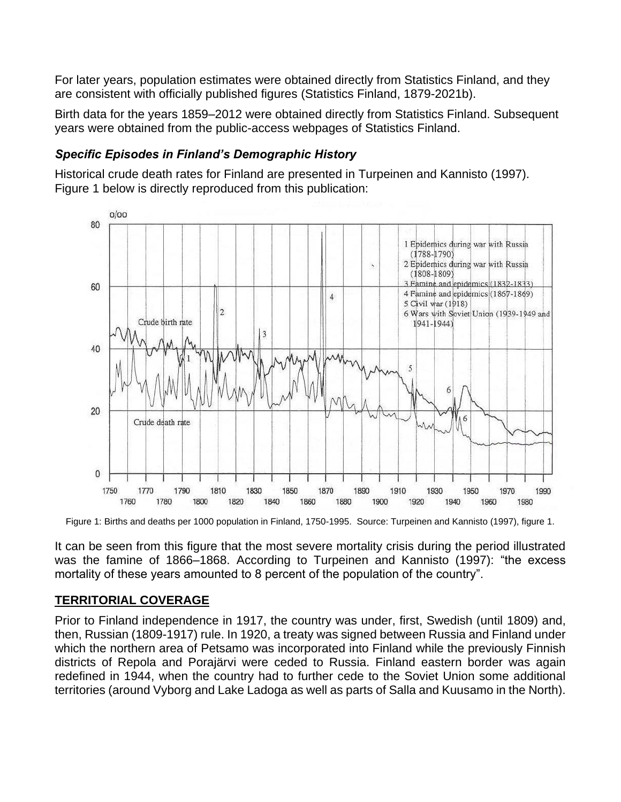For later years, population estimates were obtained directly from Statistics Finland, and they are consistent with officially published figures (Statistics Finland, 1879-2021b).

Birth data for the years 1859–2012 were obtained directly from Statistics Finland. Subsequent years were obtained from the public-access webpages of Statistics Finland.

## *Specific Episodes in Finland's Demographic History*

Historical crude death rates for Finland are presented in Turpeinen and Kannisto (1997). Figure 1 below is directly reproduced from this publication:



Figure 1: Births and deaths per 1000 population in Finland, 1750-1995. Source: Turpeinen and Kannisto (1997), figure 1.

It can be seen from this figure that the most severe mortality crisis during the period illustrated was the famine of 1866–1868. According to Turpeinen and Kannisto (1997): "the excess mortality of these years amounted to 8 percent of the population of the country".

## **TERRITORIAL COVERAGE**

Prior to Finland independence in 1917, the country was under, first, Swedish (until 1809) and, then, Russian (1809-1917) rule. In 1920, a treaty was signed between Russia and Finland under which the northern area of Petsamo was incorporated into Finland while the previously Finnish districts of Repola and Porajärvi were ceded to Russia. Finland eastern border was again redefined in 1944, when the country had to further cede to the Soviet Union some additional territories (around Vyborg and Lake Ladoga as well as parts of Salla and Kuusamo in the North).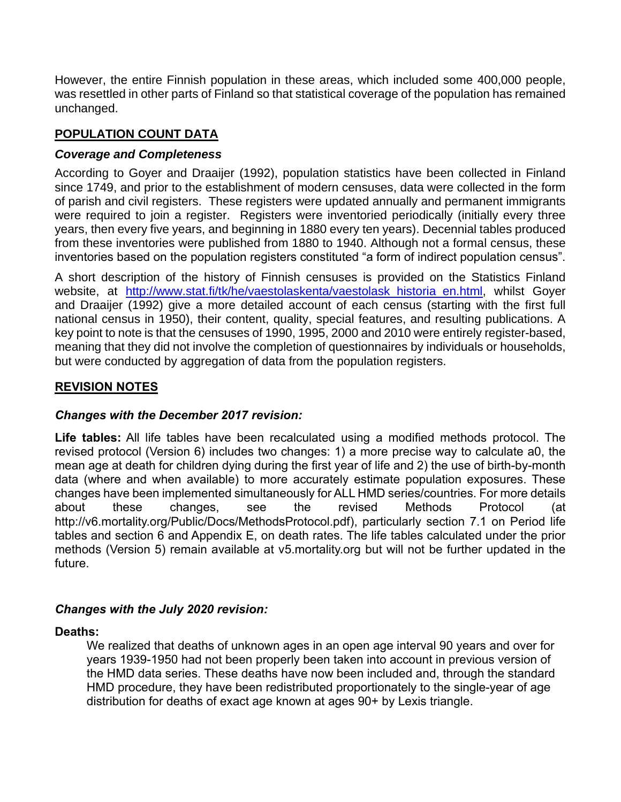However, the entire Finnish population in these areas, which included some 400,000 people, was resettled in other parts of Finland so that statistical coverage of the population has remained unchanged.

## **POPULATION COUNT DATA**

## *Coverage and Completeness*

According to Goyer and Draaijer (1992), population statistics have been collected in Finland since 1749, and prior to the establishment of modern censuses, data were collected in the form of parish and civil registers. These registers were updated annually and permanent immigrants were required to join a register. Registers were inventoried periodically (initially every three years, then every five years, and beginning in 1880 every ten years). Decennial tables produced from these inventories were published from 1880 to 1940. Although not a formal census, these inventories based on the population registers constituted "a form of indirect population census".

A short description of the history of Finnish censuses is provided on the Statistics Finland website, at http://www.stat.fi/tk/he/vaestolaskenta/vaestolask historia en.html, whilst Goyer and Draaijer (1992) give a more detailed account of each census (starting with the first full national census in 1950), their content, quality, special features, and resulting publications. A key point to note is that the censuses of 1990, 1995, 2000 and 2010 were entirely register-based, meaning that they did not involve the completion of questionnaires by individuals or households, but were conducted by aggregation of data from the population registers.

## **REVISION NOTES**

### *Changes with the December 2017 revision:*

**Life tables:** All life tables have been recalculated using a modified methods protocol. The revised protocol (Version 6) includes two changes: 1) a more precise way to calculate a0, the mean age at death for children dying during the first year of life and 2) the use of birth-by-month data (where and when available) to more accurately estimate population exposures. These changes have been implemented simultaneously for ALL HMD series/countries. For more details about these changes, see the revised Methods Protocol (at http://v6.mortality.org/Public/Docs/MethodsProtocol.pdf), particularly section 7.1 on Period life tables and section 6 and Appendix E, on death rates. The life tables calculated under the prior methods (Version 5) remain available at v5.mortality.org but will not be further updated in the future.

## *Changes with the July 2020 revision:*

### **Deaths:**

We realized that deaths of unknown ages in an open age interval 90 years and over for years 1939-1950 had not been properly been taken into account in previous version of the HMD data series. These deaths have now been included and, through the standard HMD procedure, they have been redistributed proportionately to the single-year of age distribution for deaths of exact age known at ages 90+ by Lexis triangle.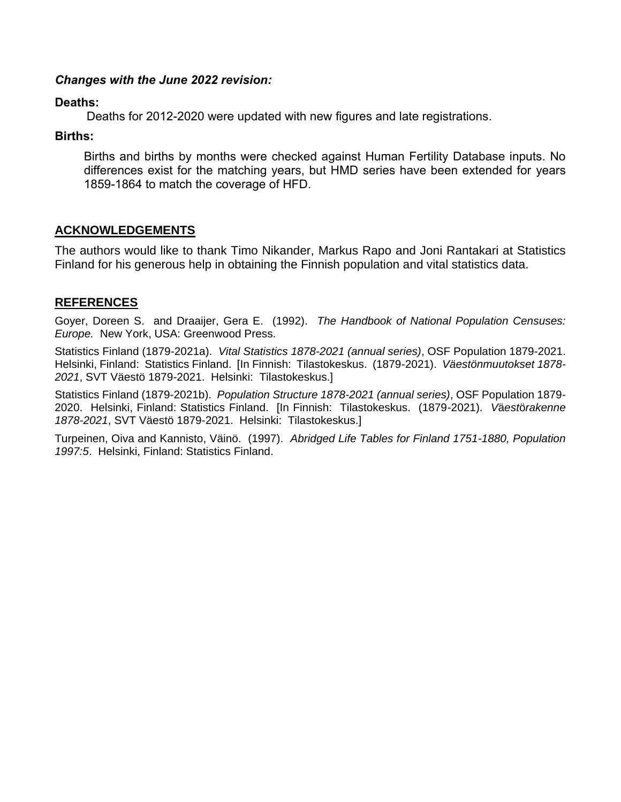#### *Changes with the June 2022 revision:*

#### **Deaths:**

Deaths for 2012-2020 were updated with new figures and late registrations.

#### **Births:**

Births and births by months were checked against Human Fertility Database inputs. No differences exist for the matching years, but HMD series have been extended for years 1859-1864 to match the coverage of HFD.

## **ACKNOWLEDGEMENTS**

The authors would like to thank Timo Nikander, Markus Rapo and Joni Rantakari at Statistics Finland for his generous help in obtaining the Finnish population and vital statistics data.

## **REFERENCES**

Goyer, Doreen S. and Draaijer, Gera E. (1992). *The Handbook of National Population Censuses: Europe.* New York, USA: Greenwood Press.

Statistics Finland (1879-2021a). *Vital Statistics 1878-2021 (annual series)*, OSF Population 1879-2021. Helsinki, Finland: Statistics Finland. [In Finnish: Tilastokeskus. (1879-2021). *Väestönmuutokset 1878- 2021*, SVT Väestö 1879-2021. Helsinki: Tilastokeskus.]

Statistics Finland (1879-2021b). *Population Structure 1878-2021 (annual series)*, OSF Population 1879- 2020. Helsinki, Finland: Statistics Finland. [In Finnish: Tilastokeskus. (1879-2021). *V*ä*est*ö*rakenne 1878-2021*, SVT Väestö 1879-2021. Helsinki: Tilastokeskus.]

Turpeinen, Oiva and Kannisto, Väinö. (1997). *Abridged Life Tables for Finland 1751-1880, Population 1997:5*. Helsinki, Finland: Statistics Finland.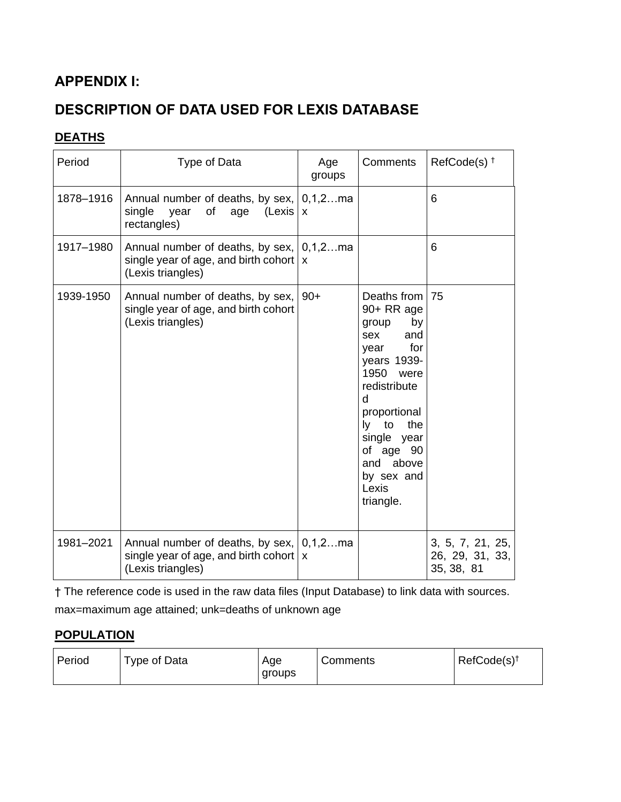# **APPENDIX I:**

# **DESCRIPTION OF DATA USED FOR LEXIS DATABASE**

# **DEATHS**

| Period    | Type of Data                                                                                                            | Age<br>groups | Comments                                                                                                                                                                                                                                  | RefCode(s) <sup>+</sup>                           |
|-----------|-------------------------------------------------------------------------------------------------------------------------|---------------|-------------------------------------------------------------------------------------------------------------------------------------------------------------------------------------------------------------------------------------------|---------------------------------------------------|
| 1878-1916 | Annual number of deaths, by sex,   0,1,2ma<br>single<br>of<br>year<br>(Lexis   x)<br>age<br>rectangles)                 |               |                                                                                                                                                                                                                                           | 6                                                 |
| 1917-1980 | Annual number of deaths, by sex,   0,1,2ma<br>single year of age, and birth cohort $\vert x \vert$<br>(Lexis triangles) |               |                                                                                                                                                                                                                                           | 6                                                 |
| 1939-1950 | Annual number of deaths, by sex,<br>single year of age, and birth cohort<br>(Lexis triangles)                           | $90+$         | Deaths from<br>90+ RR age<br>by<br>group<br>sex<br>and<br>for<br>year<br>years 1939-<br>1950<br>were<br>redistribute<br>d<br>proportional<br>ly to<br>the<br>single year<br>of age 90<br>above<br>and<br>by sex and<br>Lexis<br>triangle. | 75                                                |
| 1981-2021 | Annual number of deaths, by sex,   0,1,2ma<br>single year of age, and birth cohort $\vert x \vert$<br>(Lexis triangles) |               |                                                                                                                                                                                                                                           | 3, 5, 7, 21, 25,<br>26, 29, 31, 33,<br>35, 38, 81 |

† The reference code is used in the raw data files (Input Database) to link data with sources.

max=maximum age attained; unk=deaths of unknown age

## **POPULATION**

| Period<br>Type of Data<br>Age<br>groups | Comments | $RefCode(s)^{\dagger}$ |
|-----------------------------------------|----------|------------------------|
|-----------------------------------------|----------|------------------------|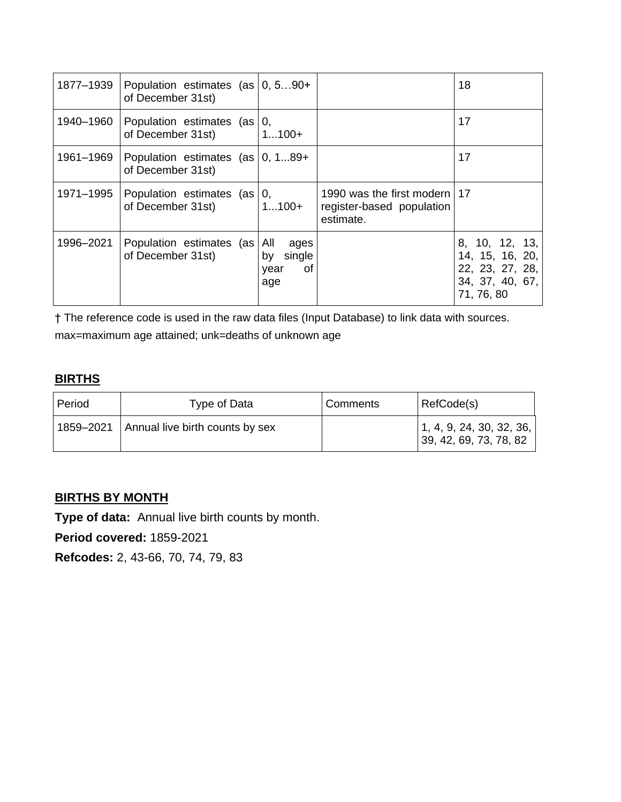| 1877-1939 | Population estimates (as $ 0, 590+$<br>of December 31st)  |                                        |                                                                          | 18                                                                                    |
|-----------|-----------------------------------------------------------|----------------------------------------|--------------------------------------------------------------------------|---------------------------------------------------------------------------------------|
| 1940-1960 | Population estimates (as   0,<br>of December 31st)        | $1100+$                                |                                                                          | 17                                                                                    |
| 1961–1969 | Population estimates $(as   0, 189+$<br>of December 31st) |                                        |                                                                          | 17                                                                                    |
| 1971-1995 | Population estimates $(as   0,$<br>of December 31st)      | $1100+$                                | 1990 was the first modern   17<br>register-based population<br>estimate. |                                                                                       |
| 1996-2021 | Population estimates (as All<br>of December 31st)         | ages<br>by single<br>of<br>year<br>age |                                                                          | 8, 10, 12, 13,<br>14, 15, 16, 20,<br>22, 23, 27, 28,<br>34, 37, 40, 67,<br>71, 76, 80 |

† The reference code is used in the raw data files (Input Database) to link data with sources.

max=maximum age attained; unk=deaths of unknown age

## **BIRTHS**

| Period | Type of Data                                | Comments | RefCode(s)                                         |
|--------|---------------------------------------------|----------|----------------------------------------------------|
|        | 1859–2021   Annual live birth counts by sex |          | 1, 4, 9, 24, 30, 32, 36,<br>39, 42, 69, 73, 78, 82 |

# **BIRTHS BY MONTH**

**Type of data:** Annual live birth counts by month.

**Period covered:** 1859-2021

**Refcodes:** 2, 43-66, 70, 74, 79, 83